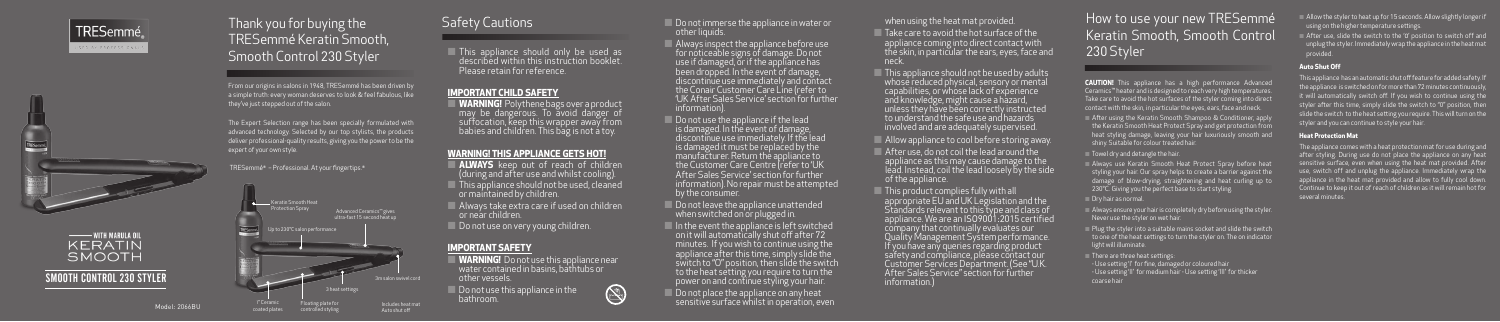Model: 2066BU

# TRESemmé SED BY PROFESSIONAL





## SMOOTH CONTROL 230 STYLER

# Thank you for buying the TRESemmé Keratin Smooth, Smooth Control 230 Styler

From our origins in salons in 1948, TRESemmé has been driven by a simple truth: every woman deserves to look & feel fabulous, like they've just stepped out of the salon.

## How to use your new TRESemmé Keratin Smooth, Smooth Control 230 Styler

**CAUTION!** This appliance has a high performance Advanced Ceramics™ heater and is designed to reach very high temperatures. Take care to avoid the hot surfaces of the styler coming into direct contact with the skin, in particular the eyes, ears, face and neck.

The Expert Selection range has been specially formulated with advanced technology. Selected by our top stylists, the products deliver professional-quality results, giving you the power to be the expert of your own style.

TRESemmé® – Professional. At your fingertips.®

 **WARNING!** Polythene bags over a product may be dangerous. To avoid danger of suffocation, keep this wrapper away from babies and children. This bag is not a toy.

- After using the Keratin Smooth Shampoo & Conditioner, apply the Keratin Smooth Heat Protect Spray and get protection from heat styling damage, leaving your hair luxuriously smooth and shiny. Suitable for colour treated hair.
- Towel dry and detangle the hair.
- Always use Keratin Smooth Heat Protect Spray before heat styling your hair. Our spray helps to create a barrier against the damage of blow-drying, straightening and heat curling up to 230°C. Giving you the perfect base to start styling.

Dry hair as normal.

- **ALWAYS** keep out of reach of children (during and after use and whilst cooling).
- This appliance should not be used, cleaned or maintained by children.
- Always take extra care if used on children or near children.
- Do not use on very young children.

- **WARNING!** Do not use this appliance near water contained in basins, bathtubs or other vessels.
- Do not use this appliance in the bathroom.



Do not immerse the appliance in water or other liquids.

 $\sqrt{\phantom{a}}$  Always inspect the appliance before use  $\sqrt{a}$ for noticeable signs of damage. Do not use if damaged, or if the appliance has been dropped. In the event of damage, discontinue use immediately and contact the Conair Customer Care Line (refer to 'UK After Sales Service' section for further information).

- Always ensure your hair is completely dry before using the styler. Never use the styler on wet hair.
- $\Box$  Plug the styler into a suitable mains socket and slide the switch to one of the heat settings to turn the styler on. The on indicator light will illuminate.
- $\blacksquare$  There are three heat settings:
- Use setting 'I' for fine, damaged or coloured hair
- Use setting 'II' for medium hair Use setting 'III' for thicker coarse hair

 $\Box$  Do not use the appliance if the lead is damaged. In the event of damage, discontinue use immediately. If the lead is damaged it must be replaced by the manufacturer. Return the appliance to the Customer Care Centre (refer to 'UK After Sales Service' section for further information). No repair must be attempted by the consumer.

Do not leave the appliance unattended when switched on or plugged in.

 $\blacksquare$  In the event the appliance is left switched on it will automatically shut off after 72 minutes. If you wish to continue using the appliance after this time, simply slide the switch to "O" position, then slide the switch to the heat setting you require to turn the power on and continue styling your hair.

Do not place the appliance on any heat sensitive surface whilst in operation, even

# Safety Cautions

Take care to avoid the hot surface of the appliance coming into direct contact with the skin, in particular the ears, eyes, face and neck.

 This appliance should only be used as described within this instruction booklet. Please retain for reference.

## **IMPORTANT CHILD SAFETY**

## **WARNING! THIS APPLIANCE GETS HOT!**

- $\blacksquare$  This appliance should not be used by adults whose reduced physical, sensory or mental capabilities, or whose lack of experience and knowledge, might cause a hazard, unless they have been correctly instructed to understand the safe use and hazards involved and are adequately supervised.
- Allow appliance to cool before storing away.
- After use, do not coil the lead around the appliance as this may cause damage to the lead. Instead, coil the lead loosely by the side of the appliance.
- **This product complies fully with all** appropriate EU and UK Legislation and the Standards relevant to this type and class of appliance. We are an ISO9001:2015 certified company that continually evaluates our Quality Management System performance. you have any queries regarding product safety and compliance, please contact our Customer Services Department. (See "U.K. After Sales Service" section for further information.)

 $\Box$  Allow the styler to heat up for 15 seconds. Allow slightly longer if using on the higher temperature settings.

## **IMPORTANT SAFETY**

After use, slide the switch to the 'O' position to switch off and unplug the styler. Immediately wrap the appliance in the heat mat



when using the heat mat provided.

- 
- provided.

### **Auto Shut Off**

This appliance has an automatic shut off feature for added safety. If the appliance is switched on for more than 72 minutes continuously, it will automatically switch off. If you wish to continue using the styler after this time, simply slide the switch to "0" position, then slide the switch to the heat setting you require. This will turn on the styler and you can continue to style your hair.

### **Heat Protection Mat**

The appliance comes with a heat protection mat for use during and after styling. During use do not place the appliance on any heat sensitive surface, even when using the heat mat provided. After use, switch off and unplug the appliance. Immediately wrap the appliance in the heat mat provided and allow to fully cool down. Continue to keep it out of reach of children as it will remain hot for several minutes.